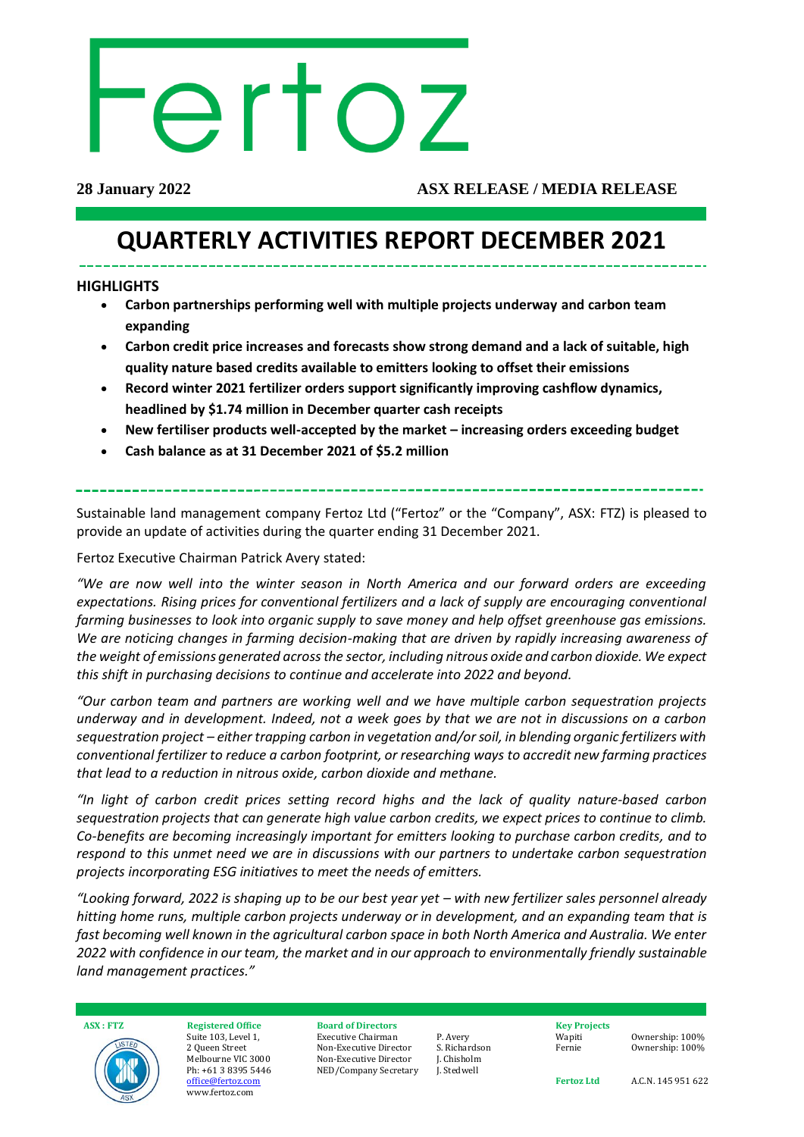# ertoz

#### **28 January 2022 ASX RELEASE / MEDIA RELEASE**

# **QUARTERLY ACTIVITIES REPORT DECEMBER 2021**

#### **HIGHLIGHTS**

- **Carbon partnerships performing well with multiple projects underway and carbon team expanding**
- **Carbon credit price increases and forecasts show strong demand and a lack of suitable, high quality nature based credits available to emitters looking to offset their emissions**
- **Record winter 2021 fertilizer orders support significantly improving cashflow dynamics, headlined by \$1.74 million in December quarter cash receipts**
- **New fertiliser products well-accepted by the market – increasing orders exceeding budget**
- **Cash balance as at 31 December 2021 of \$5.2 million**

Sustainable land management company Fertoz Ltd ("Fertoz" or the "Company", ASX: FTZ) is pleased to provide an update of activities during the quarter ending 31 December 2021.

Fertoz Executive Chairman Patrick Avery stated:

*"We are now well into the winter season in North America and our forward orders are exceeding expectations. Rising prices for conventional fertilizers and a lack of supply are encouraging conventional farming businesses to look into organic supply to save money and help offset greenhouse gas emissions. We are noticing changes in farming decision-making that are driven by rapidly increasing awareness of the weight of emissions generated acrossthe sector, including nitrous oxide and carbon dioxide. We expect this shift in purchasing decisions to continue and accelerate into 2022 and beyond.* 

*"Our carbon team and partners are working well and we have multiple carbon sequestration projects underway and in development. Indeed, not a week goes by that we are not in discussions on a carbon sequestration project – either trapping carbon in vegetation and/or soil, in blending organic fertilizers with conventional fertilizer to reduce a carbon footprint, or researching ways to accredit new farming practices that lead to a reduction in nitrous oxide, carbon dioxide and methane.* 

*"In light of carbon credit prices setting record highs and the lack of quality nature-based carbon sequestration projects that can generate high value carbon credits, we expect prices to continue to climb. Co-benefits are becoming increasingly important for emitters looking to purchase carbon credits, and to respond to this unmet need we are in discussions with our partners to undertake carbon sequestration projects incorporating ESG initiatives to meet the needs of emitters.* 

*"Looking forward, 2022 is shaping up to be our best year yet – with new fertilizer sales personnel already hitting home runs, multiple carbon projects underway or in development, and an expanding team that is fast becoming well known in the agricultural carbon space in both North America and Australia. We enter 2022 with confidence in our team, the market and in our approach to environmentally friendly sustainable land management practices."*



**ASX : FTZ Registered Office** Suite 103, Level 1, 2 Queen Street Melbourne VIC 3000 Ph: +61 3 8395 5446 [office@fertoz.com](mailto:office@fertoz.com) www.fertoz.com

#### **Board of Directors** Executive Chairman Non-Executive Director Non-Executive Director

NED/Company Secretary

P. Avery S. Richardson J. Chisholm J. Stedwell

**Key Projects** Wapiti Fernie

Ownership: 100% Ownership: 100%

**Fertoz Ltd** 

A.C.N. 145 951 622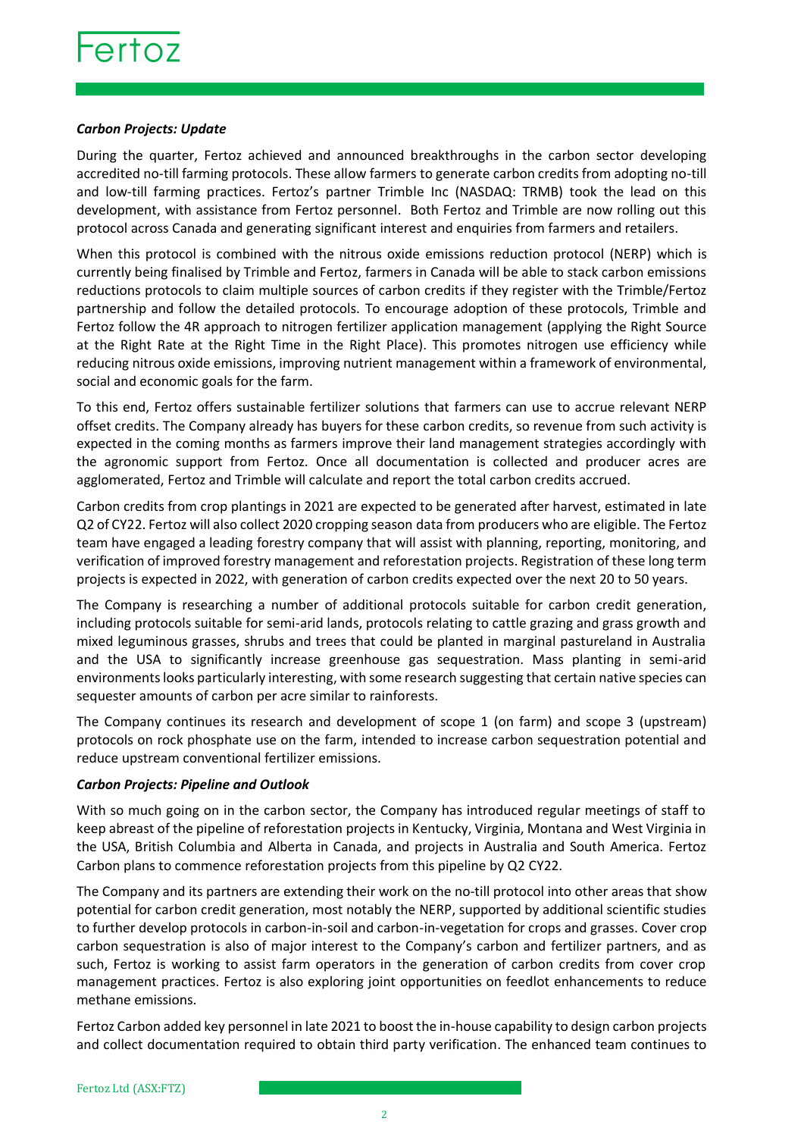#### *Carbon Projects: Update*

During the quarter, Fertoz achieved and announced breakthroughs in the carbon sector developing accredited no-till farming protocols. These allow farmers to generate carbon credits from adopting no-till and low-till farming practices. Fertoz's partner Trimble Inc (NASDAQ: TRMB) took the lead on this development, with assistance from Fertoz personnel. Both Fertoz and Trimble are now rolling out this protocol across Canada and generating significant interest and enquiries from farmers and retailers.

When this protocol is combined with the nitrous oxide emissions reduction protocol (NERP) which is currently being finalised by Trimble and Fertoz, farmers in Canada will be able to stack carbon emissions reductions protocols to claim multiple sources of carbon credits if they register with the Trimble/Fertoz partnership and follow the detailed protocols. To encourage adoption of these protocols, Trimble and Fertoz follow the 4R approach to nitrogen fertilizer application management (applying the Right Source at the Right Rate at the Right Time in the Right Place). This promotes nitrogen use efficiency while reducing nitrous oxide emissions, improving nutrient management within a framework of environmental, social and economic goals for the farm.

To this end, Fertoz offers sustainable fertilizer solutions that farmers can use to accrue relevant NERP offset credits. The Company already has buyers for these carbon credits, so revenue from such activity is expected in the coming months as farmers improve their land management strategies accordingly with the agronomic support from Fertoz. Once all documentation is collected and producer acres are agglomerated, Fertoz and Trimble will calculate and report the total carbon credits accrued.

Carbon credits from crop plantings in 2021 are expected to be generated after harvest, estimated in late Q2 of CY22. Fertoz will also collect 2020 cropping season data from producers who are eligible. The Fertoz team have engaged a leading forestry company that will assist with planning, reporting, monitoring, and verification of improved forestry management and reforestation projects. Registration of these long term projects is expected in 2022, with generation of carbon credits expected over the next 20 to 50 years.

The Company is researching a number of additional protocols suitable for carbon credit generation, including protocols suitable for semi-arid lands, protocols relating to cattle grazing and grass growth and mixed leguminous grasses, shrubs and trees that could be planted in marginal pastureland in Australia and the USA to significantly increase greenhouse gas sequestration. Mass planting in semi-arid environments looks particularly interesting, with some research suggesting that certain native species can sequester amounts of carbon per acre similar to rainforests.

The Company continues its research and development of scope 1 (on farm) and scope 3 (upstream) protocols on rock phosphate use on the farm, intended to increase carbon sequestration potential and reduce upstream conventional fertilizer emissions.

#### *Carbon Projects: Pipeline and Outlook*

With so much going on in the carbon sector, the Company has introduced regular meetings of staff to keep abreast of the pipeline of reforestation projects in Kentucky, Virginia, Montana and West Virginia in the USA, British Columbia and Alberta in Canada, and projects in Australia and South America. Fertoz Carbon plans to commence reforestation projects from this pipeline by Q2 CY22.

The Company and its partners are extending their work on the no-till protocol into other areas that show potential for carbon credit generation, most notably the NERP, supported by additional scientific studies to further develop protocols in carbon-in-soil and carbon-in-vegetation for crops and grasses. Cover crop carbon sequestration is also of major interest to the Company's carbon and fertilizer partners, and as such, Fertoz is working to assist farm operators in the generation of carbon credits from cover crop management practices. Fertoz is also exploring joint opportunities on feedlot enhancements to reduce methane emissions.

Fertoz Carbon added key personnel in late 2021 to boost the in-house capability to design carbon projects and collect documentation required to obtain third party verification. The enhanced team continues to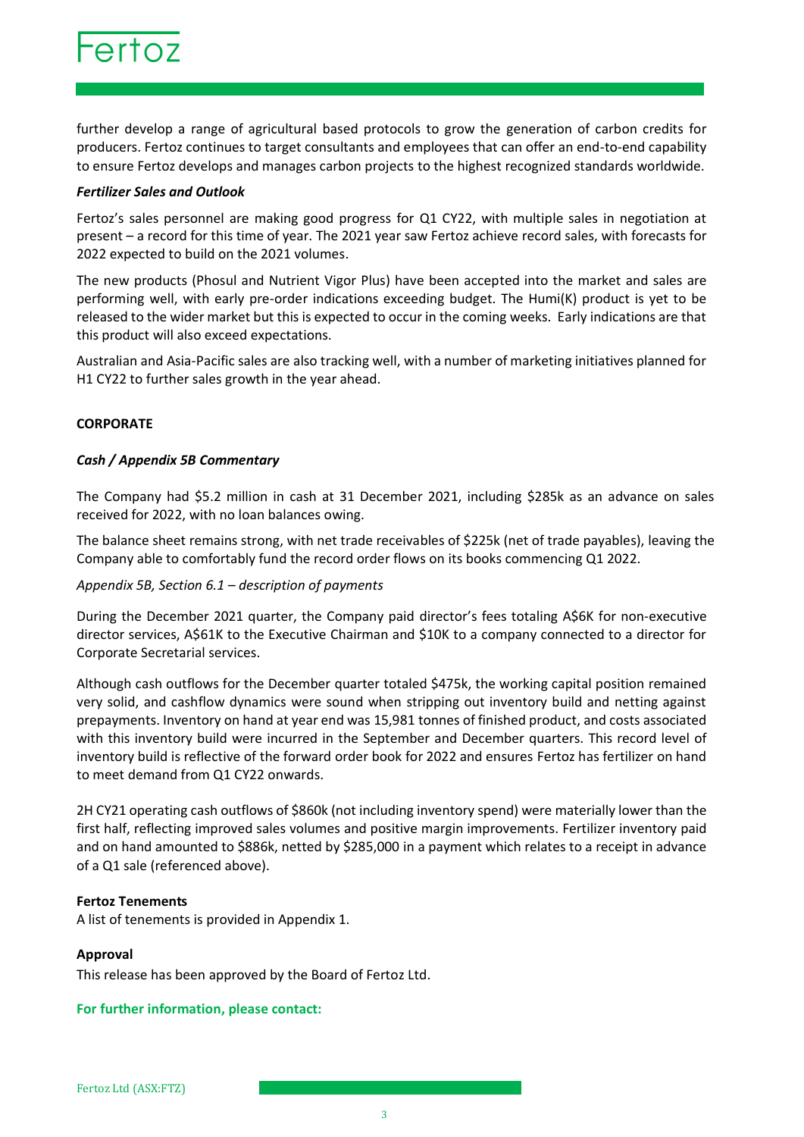

further develop a range of agricultural based protocols to grow the generation of carbon credits for producers. Fertoz continues to target consultants and employees that can offer an end-to-end capability to ensure Fertoz develops and manages carbon projects to the highest recognized standards worldwide.

#### *Fertilizer Sales and Outlook*

Fertoz's sales personnel are making good progress for Q1 CY22, with multiple sales in negotiation at present – a record for this time of year. The 2021 year saw Fertoz achieve record sales, with forecasts for 2022 expected to build on the 2021 volumes.

The new products (Phosul and Nutrient Vigor Plus) have been accepted into the market and sales are performing well, with early pre-order indications exceeding budget. The Humi(K) product is yet to be released to the wider market but this is expected to occur in the coming weeks. Early indications are that this product will also exceed expectations.

Australian and Asia-Pacific sales are also tracking well, with a number of marketing initiatives planned for H1 CY22 to further sales growth in the year ahead.

#### **CORPORATE**

#### *Cash / Appendix 5B Commentary*

The Company had \$5.2 million in cash at 31 December 2021, including \$285k as an advance on sales received for 2022, with no loan balances owing.

The balance sheet remains strong, with net trade receivables of \$225k (net of trade payables), leaving the Company able to comfortably fund the record order flows on its books commencing Q1 2022.

#### *Appendix 5B, Section 6.1 – description of payments*

During the December 2021 quarter, the Company paid director's fees totaling A\$6K for non-executive director services, A\$61K to the Executive Chairman and \$10K to a company connected to a director for Corporate Secretarial services.

Although cash outflows for the December quarter totaled \$475k, the working capital position remained very solid, and cashflow dynamics were sound when stripping out inventory build and netting against prepayments. Inventory on hand at year end was 15,981 tonnes of finished product, and costs associated with this inventory build were incurred in the September and December quarters. This record level of inventory build is reflective of the forward order book for 2022 and ensures Fertoz has fertilizer on hand to meet demand from Q1 CY22 onwards.

2H CY21 operating cash outflows of \$860k (not including inventory spend) were materially lower than the first half, reflecting improved sales volumes and positive margin improvements. Fertilizer inventory paid and on hand amounted to \$886k, netted by \$285,000 in a payment which relates to a receipt in advance of a Q1 sale (referenced above).

#### **Fertoz Tenements**

A list of tenements is provided in Appendix 1.

#### **Approval**

This release has been approved by the Board of Fertoz Ltd.

#### **For further information, please contact:**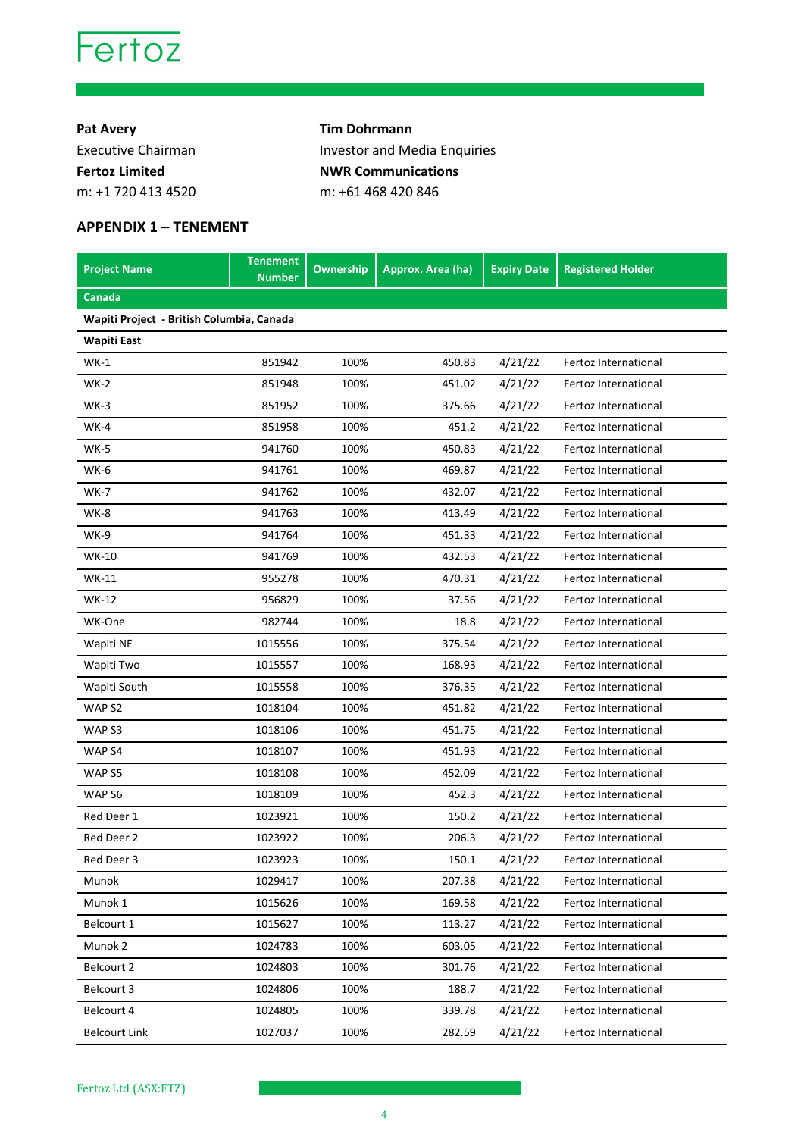

**Pat Avery Tim Dohrmann** Executive Chairman **Investor and Media Enquiries Fertoz Limited NWR Communications** m: +1 720 413 4520 m: +61 468 420 846

### **APPENDIX 1 – TENEMENT**

| <b>Project Name</b>                       | <b>Tenement</b><br><b>Number</b> | <b>Ownership</b> | Approx. Area (ha) | <b>Expiry Date</b> | <b>Registered Holder</b>    |
|-------------------------------------------|----------------------------------|------------------|-------------------|--------------------|-----------------------------|
| Canada                                    |                                  |                  |                   |                    |                             |
| Wapiti Project - British Columbia, Canada |                                  |                  |                   |                    |                             |
| Wapiti East                               |                                  |                  |                   |                    |                             |
| WK-1                                      | 851942                           | 100%             | 450.83            | 4/21/22            | Fertoz International        |
| $WK-2$                                    | 851948                           | 100%             | 451.02            | 4/21/22            | Fertoz International        |
| <b>WK-3</b>                               | 851952                           | 100%             | 375.66            | 4/21/22            | Fertoz International        |
| <b>WK-4</b>                               | 851958                           | 100%             | 451.2             | 4/21/22            | Fertoz International        |
| $WK-5$                                    | 941760                           | 100%             | 450.83            | 4/21/22            | Fertoz International        |
| WK-6                                      | 941761                           | 100%             | 469.87            | 4/21/22            | Fertoz International        |
| WK-7                                      | 941762                           | 100%             | 432.07            | 4/21/22            | Fertoz International        |
| WK-8                                      | 941763                           | 100%             | 413.49            | 4/21/22            | Fertoz International        |
| WK-9                                      | 941764                           | 100%             | 451.33            | 4/21/22            | Fertoz International        |
| WK-10                                     | 941769                           | 100%             | 432.53            | 4/21/22            | Fertoz International        |
| WK-11                                     | 955278                           | 100%             | 470.31            | 4/21/22            | Fertoz International        |
| WK-12                                     | 956829                           | 100%             | 37.56             | 4/21/22            | Fertoz International        |
| WK-One                                    | 982744                           | 100%             | 18.8              | 4/21/22            | Fertoz International        |
| Wapiti NE                                 | 1015556                          | 100%             | 375.54            | 4/21/22            | <b>Fertoz International</b> |
| Wapiti Two                                | 1015557                          | 100%             | 168.93            | 4/21/22            | Fertoz International        |
| Wapiti South                              | 1015558                          | 100%             | 376.35            | 4/21/22            | Fertoz International        |
| WAP <sub>S2</sub>                         | 1018104                          | 100%             | 451.82            | 4/21/22            | Fertoz International        |
| WAP S3                                    | 1018106                          | 100%             | 451.75            | 4/21/22            | Fertoz International        |
| WAP <sub>S4</sub>                         | 1018107                          | 100%             | 451.93            | 4/21/22            | Fertoz International        |
| WAP <sub>S5</sub>                         | 1018108                          | 100%             | 452.09            | 4/21/22            | Fertoz International        |
| WAP <sub>S6</sub>                         | 1018109                          | 100%             | 452.3             | 4/21/22            | Fertoz International        |
| Red Deer 1                                | 1023921                          | 100%             | 150.2             | 4/21/22            | Fertoz International        |
| Red Deer 2                                | 1023922                          | 100%             | 206.3             | 4/21/22            | Fertoz International        |
| Red Deer 3                                | 1023923                          | 100%             | 150.1             | 4/21/22            | Fertoz International        |
| <b>Munok</b>                              | 1029417                          | 100%             | 207.38            | 4/21/22            | Fertoz International        |
| Munok 1                                   | 1015626                          | 100%             | 169.58            | 4/21/22            | Fertoz International        |
| Belcourt 1                                | 1015627                          | 100%             | 113.27            | 4/21/22            | Fertoz International        |
| Munok 2                                   | 1024783                          | 100%             | 603.05            | 4/21/22            | Fertoz International        |
| Belcourt 2                                | 1024803                          | 100%             | 301.76            | 4/21/22            | Fertoz International        |
| Belcourt 3                                | 1024806                          | 100%             | 188.7             | 4/21/22            | Fertoz International        |
| Belcourt 4                                | 1024805                          | 100%             | 339.78            | 4/21/22            | Fertoz International        |
| <b>Belcourt Link</b>                      | 1027037                          | 100%             | 282.59            | 4/21/22            | Fertoz International        |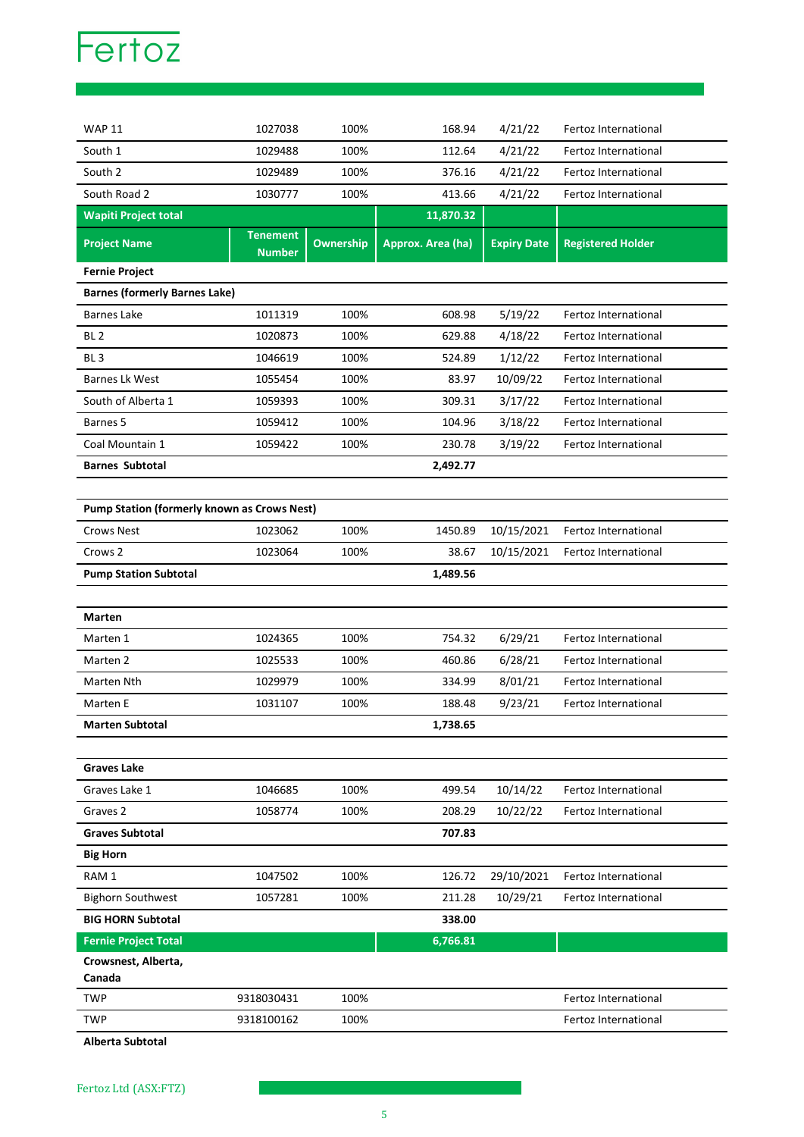

| <b>WAP 11</b>                                      | 1027038                          | 100%             | 168.94            | 4/21/22            | Fertoz International        |
|----------------------------------------------------|----------------------------------|------------------|-------------------|--------------------|-----------------------------|
| South 1                                            | 1029488                          | 100%             | 112.64            | 4/21/22            | Fertoz International        |
| South 2                                            | 1029489                          | 100%             | 376.16            | 4/21/22            | Fertoz International        |
| South Road 2                                       | 1030777                          | 100%             | 413.66            | 4/21/22            | Fertoz International        |
| <b>Wapiti Project total</b>                        |                                  |                  | 11,870.32         |                    |                             |
| <b>Project Name</b>                                | <b>Tenement</b><br><b>Number</b> | <b>Ownership</b> | Approx. Area (ha) | <b>Expiry Date</b> | <b>Registered Holder</b>    |
| <b>Fernie Project</b>                              |                                  |                  |                   |                    |                             |
| <b>Barnes (formerly Barnes Lake)</b>               |                                  |                  |                   |                    |                             |
| <b>Barnes Lake</b>                                 | 1011319                          | 100%             | 608.98            | 5/19/22            | Fertoz International        |
| BL <sub>2</sub>                                    | 1020873                          | 100%             | 629.88            | 4/18/22            | Fertoz International        |
| BL <sub>3</sub>                                    | 1046619                          | 100%             | 524.89            | 1/12/22            | Fertoz International        |
| Barnes Lk West                                     | 1055454                          | 100%             | 83.97             | 10/09/22           | Fertoz International        |
| South of Alberta 1                                 | 1059393                          | 100%             | 309.31            | 3/17/22            | <b>Fertoz International</b> |
| Barnes 5                                           | 1059412                          | 100%             | 104.96            | 3/18/22            | Fertoz International        |
| Coal Mountain 1                                    | 1059422                          | 100%             | 230.78            | 3/19/22            | Fertoz International        |
| <b>Barnes Subtotal</b>                             |                                  |                  | 2,492.77          |                    |                             |
|                                                    |                                  |                  |                   |                    |                             |
| <b>Pump Station (formerly known as Crows Nest)</b> |                                  |                  |                   |                    |                             |
| <b>Crows Nest</b>                                  | 1023062                          | 100%             | 1450.89           | 10/15/2021         | Fertoz International        |
| Crows 2                                            | 1023064                          | 100%             | 38.67             | 10/15/2021         | Fertoz International        |
| <b>Pump Station Subtotal</b>                       |                                  |                  | 1,489.56          |                    |                             |
|                                                    |                                  |                  |                   |                    |                             |
| Marten                                             |                                  |                  |                   |                    |                             |
| Marten 1                                           | 1024365                          | 100%             | 754.32            | 6/29/21            | Fertoz International        |
| Marten 2                                           | 1025533                          | 100%             | 460.86            | 6/28/21            | Fertoz International        |
| Marten Nth                                         | 1029979                          | 100%             | 334.99            | 8/01/21            | Fertoz International        |
| Marten E                                           | 1031107                          | 100%             | 188.48            | 9/23/21            | Fertoz International        |
| <b>Marten Subtotal</b>                             |                                  |                  | 1,738.65          |                    |                             |
|                                                    |                                  |                  |                   |                    |                             |
| <b>Graves Lake</b>                                 |                                  |                  |                   |                    |                             |
| Graves Lake 1                                      | 1046685                          | 100%             | 499.54            | 10/14/22           | Fertoz International        |
| Graves <sub>2</sub>                                | 1058774                          | 100%             | 208.29            | 10/22/22           | Fertoz International        |
| <b>Graves Subtotal</b>                             |                                  |                  | 707.83            |                    |                             |
| <b>Big Horn</b>                                    |                                  |                  |                   |                    |                             |
| RAM 1                                              | 1047502                          | 100%             | 126.72            | 29/10/2021         | Fertoz International        |
| <b>Bighorn Southwest</b>                           | 1057281                          | 100%             | 211.28            | 10/29/21           | Fertoz International        |
| <b>BIG HORN Subtotal</b>                           |                                  |                  | 338.00            |                    |                             |
| <b>Fernie Project Total</b>                        |                                  |                  | 6,766.81          |                    |                             |
| Crowsnest, Alberta,                                |                                  |                  |                   |                    |                             |
| Canada                                             |                                  |                  |                   |                    |                             |
| <b>TWP</b>                                         | 9318030431                       | 100%             |                   |                    | Fertoz International        |
| <b>TWP</b>                                         | 9318100162                       | 100%             |                   |                    | Fertoz International        |

**Alberta Subtotal**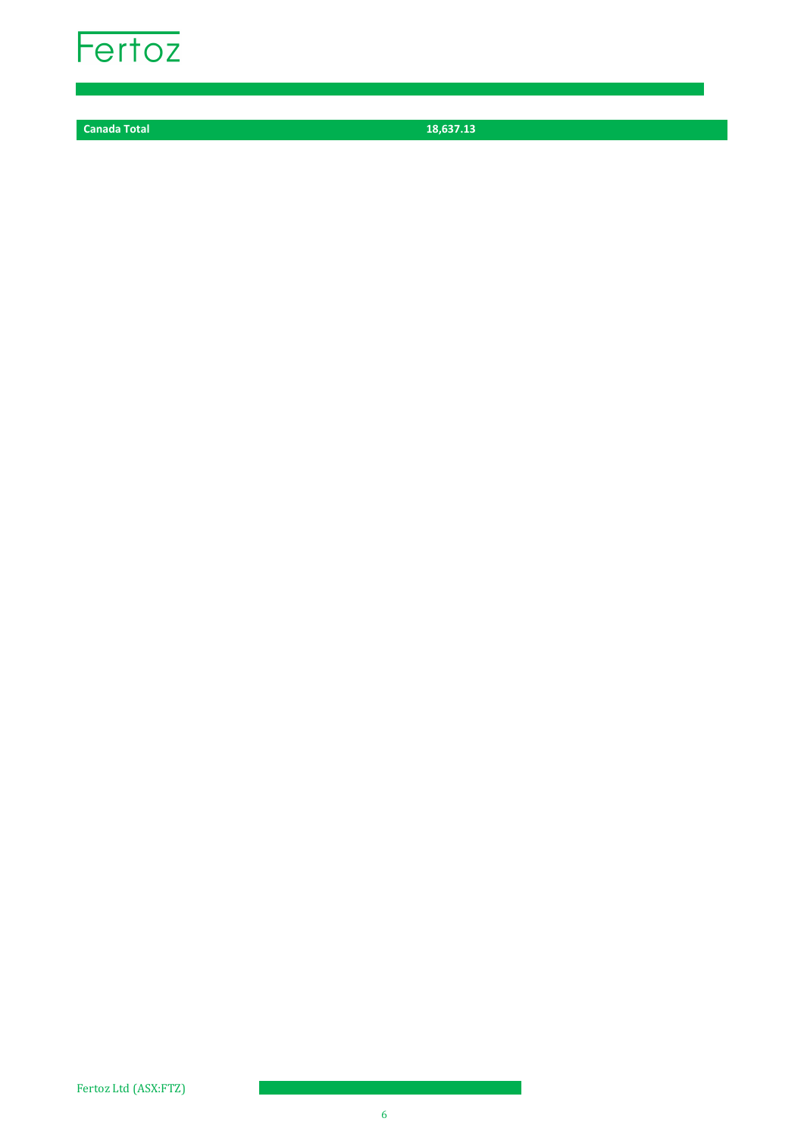

**Canada Total 18,637.13**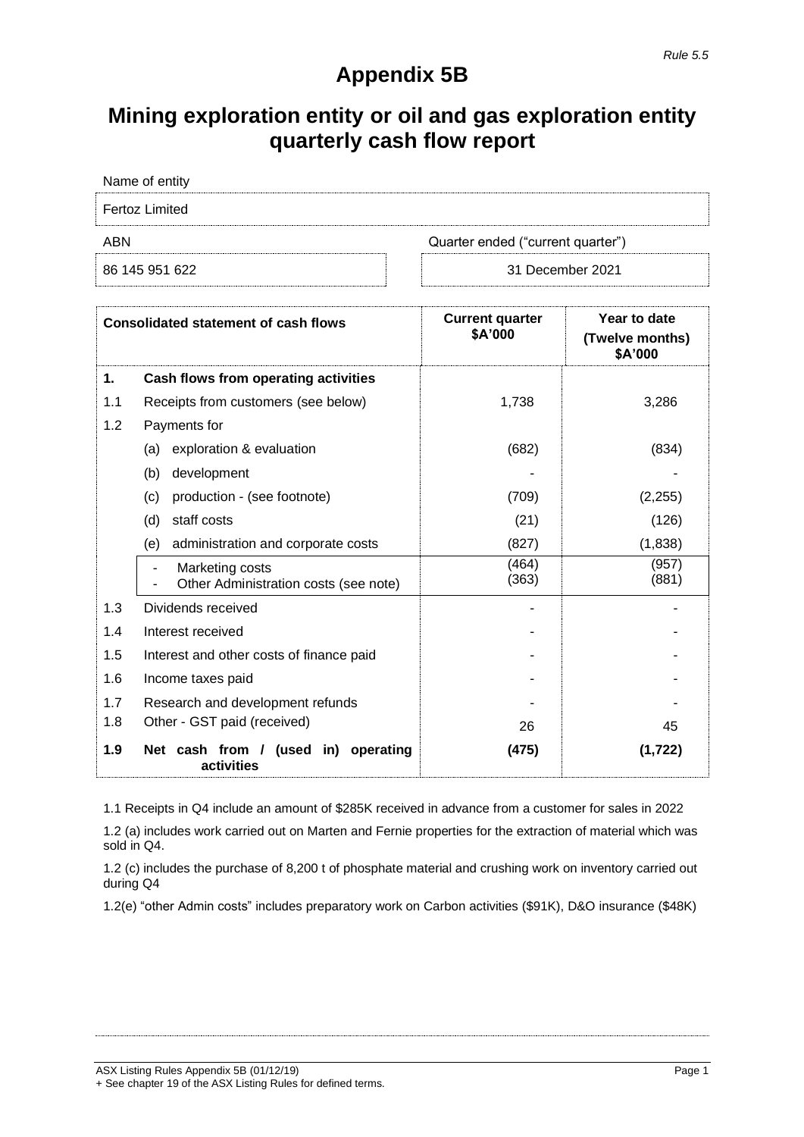## **Appendix 5B**

# **Mining exploration entity or oil and gas exploration entity quarterly cash flow report**

| Name of entity |                                   |
|----------------|-----------------------------------|
| Fertoz Limited |                                   |
| ABN            | Quarter ended ("current quarter") |

| 86 145 951 622 |  |
|----------------|--|

31 December 2021

|     | <b>Consolidated statement of cash flows</b>              | <b>Current quarter</b><br>\$A'000 | Year to date<br>(Twelve months)<br>\$A'000 |
|-----|----------------------------------------------------------|-----------------------------------|--------------------------------------------|
| 1.  | Cash flows from operating activities                     |                                   |                                            |
| 1.1 | Receipts from customers (see below)                      | 1,738                             | 3,286                                      |
| 1.2 | Payments for                                             |                                   |                                            |
|     | exploration & evaluation<br>(a)                          | (682)                             | (834)                                      |
|     | development<br>(b)                                       |                                   |                                            |
|     | (c)<br>production - (see footnote)                       | (709)                             | (2,255)                                    |
|     | staff costs<br>(d)                                       | (21)                              | (126)                                      |
|     | administration and corporate costs<br>(e)                | (827)                             | (1,838)                                    |
|     | Marketing costs<br>Other Administration costs (see note) | (464)<br>(363)                    | (957)<br>(881)                             |
| 1.3 | Dividends received                                       |                                   |                                            |
| 1.4 | Interest received                                        |                                   |                                            |
| 1.5 | Interest and other costs of finance paid                 |                                   |                                            |
| 1.6 | Income taxes paid                                        |                                   |                                            |
| 1.7 | Research and development refunds                         |                                   |                                            |
| 1.8 | Other - GST paid (received)                              | 26                                | 45                                         |
| 1.9 | Net cash from / (used in)<br>operating<br>activities     | (475)                             | (1,722)                                    |

1.1 Receipts in Q4 include an amount of \$285K received in advance from a customer for sales in 2022

1.2 (a) includes work carried out on Marten and Fernie properties for the extraction of material which was sold in Q4.

1.2 (c) includes the purchase of 8,200 t of phosphate material and crushing work on inventory carried out during Q4

1.2(e) "other Admin costs" includes preparatory work on Carbon activities (\$91K), D&O insurance (\$48K)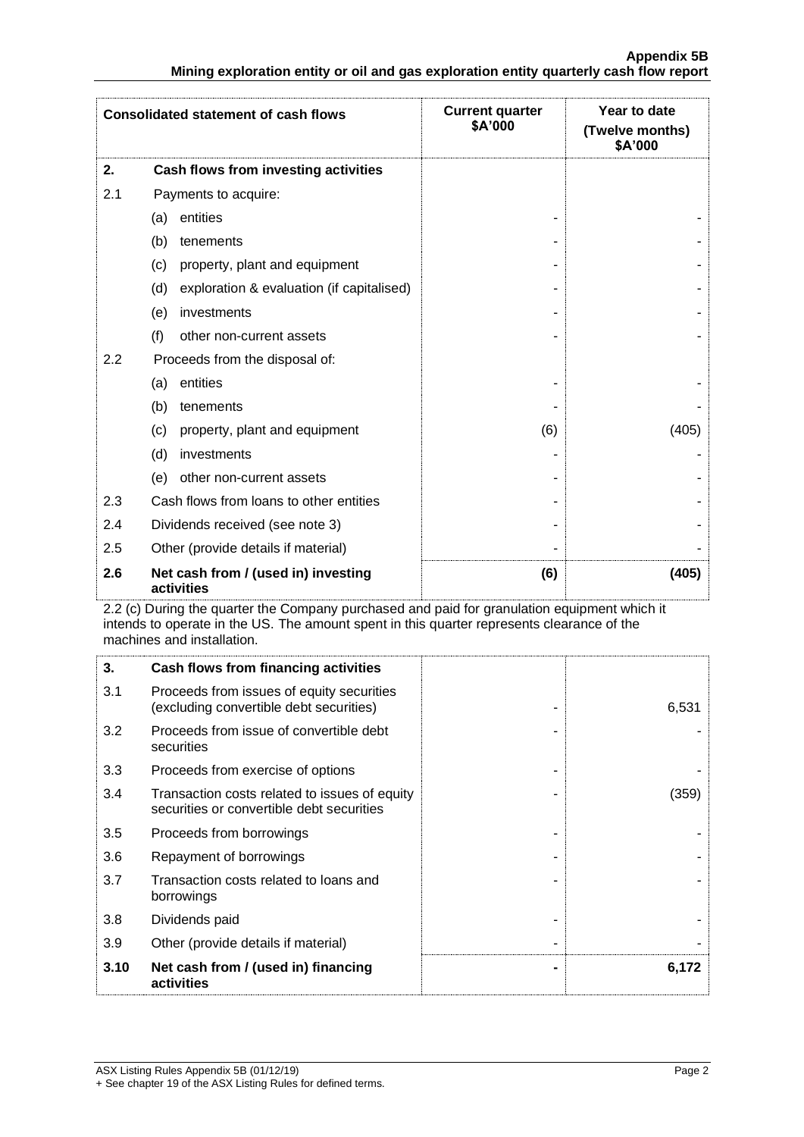|     | <b>Consolidated statement of cash flows</b>       | <b>Current quarter</b><br>\$A'000 | Year to date<br>(Twelve months)<br>\$A'000 |
|-----|---------------------------------------------------|-----------------------------------|--------------------------------------------|
| 2.  | Cash flows from investing activities              |                                   |                                            |
| 2.1 | Payments to acquire:                              |                                   |                                            |
|     | entities<br>(a)                                   |                                   |                                            |
|     | (b)<br>tenements                                  |                                   |                                            |
|     | (c)<br>property, plant and equipment              |                                   |                                            |
|     | (d)<br>exploration & evaluation (if capitalised)  |                                   |                                            |
|     | investments<br>(e)                                |                                   |                                            |
|     | (f)<br>other non-current assets                   |                                   |                                            |
| 2.2 | Proceeds from the disposal of:                    |                                   |                                            |
|     | entities<br>(a)                                   |                                   |                                            |
|     | (b)<br>tenements                                  |                                   |                                            |
|     | property, plant and equipment<br>(c)              | (6)                               | (405)                                      |
|     | investments<br>(d)                                |                                   |                                            |
|     | other non-current assets<br>(e)                   |                                   |                                            |
| 2.3 | Cash flows from loans to other entities           |                                   |                                            |
| 2.4 | Dividends received (see note 3)                   |                                   |                                            |
| 2.5 | Other (provide details if material)               |                                   |                                            |
| 2.6 | Net cash from / (used in) investing<br>activities | (6)                               | (405)                                      |

2.2 (c) During the quarter the Company purchased and paid for granulation equipment which it intends to operate in the US. The amount spent in this quarter represents clearance of the machines and installation.

| 3.   | Cash flows from financing activities                                                       |       |
|------|--------------------------------------------------------------------------------------------|-------|
| 3.1  | Proceeds from issues of equity securities<br>(excluding convertible debt securities)       | 6,531 |
| 3.2  | Proceeds from issue of convertible debt<br>securities                                      |       |
| 3.3  | Proceeds from exercise of options                                                          |       |
| 3.4  | Transaction costs related to issues of equity<br>securities or convertible debt securities | (359) |
| 3.5  | Proceeds from borrowings                                                                   |       |
| 3.6  | Repayment of borrowings                                                                    |       |
| 3.7  | Transaction costs related to loans and<br>borrowings                                       |       |
| 3.8  | Dividends paid                                                                             |       |
| 3.9  | Other (provide details if material)                                                        |       |
| 3.10 | Net cash from / (used in) financing<br>activities                                          | 6,172 |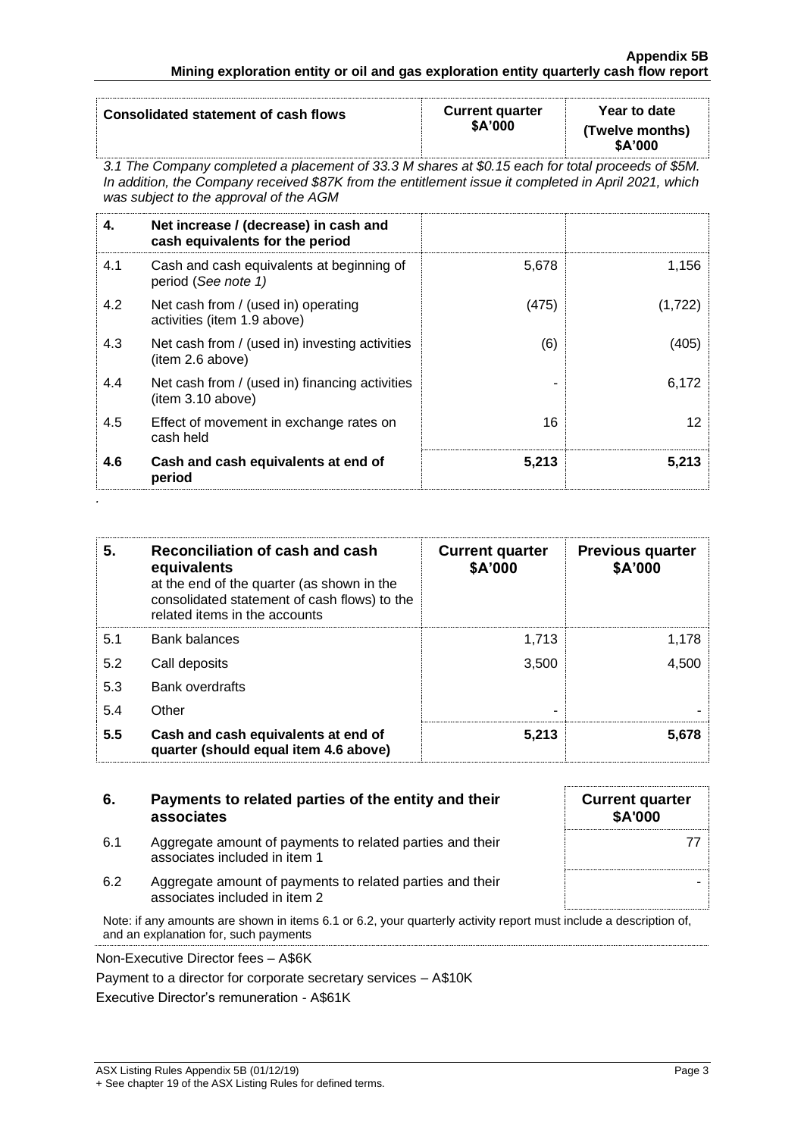| Consolidated statement of cash flows | <b>Current quarter</b><br>\$A'000 | Year to date<br>(Twelve months)<br>\$A'000 |
|--------------------------------------|-----------------------------------|--------------------------------------------|
|                                      |                                   |                                            |

*3.1 The Company completed a placement of 33.3 M shares at \$0.15 each for total proceeds of \$5M. In addition, the Company received \$87K from the entitlement issue it completed in April 2021, which was subject to the approval of the AGM*

| 4.  | Net increase / (decrease) in cash and<br>cash equivalents for the period |       |         |
|-----|--------------------------------------------------------------------------|-------|---------|
| 4.1 | Cash and cash equivalents at beginning of<br>period (See note 1)         | 5,678 | 1,156   |
| 4.2 | Net cash from / (used in) operating<br>activities (item 1.9 above)       | (475) | (1,722) |
| 4.3 | Net cash from / (used in) investing activities<br>(item 2.6 above)       | (6)   | (405)   |
| 4.4 | Net cash from / (used in) financing activities<br>(item 3.10 above)      |       | 6,172   |
| 4.5 | Effect of movement in exchange rates on<br>cash held                     | 16    | 12      |
| 4.6 | Cash and cash equivalents at end of<br>period                            | 5,213 | 5,213   |

| 5.  | Reconciliation of cash and cash<br>equivalents<br>at the end of the quarter (as shown in the<br>consolidated statement of cash flows) to the<br>related items in the accounts | <b>Current quarter</b><br>\$A'000 | <b>Previous quarter</b><br>\$A'000 |
|-----|-------------------------------------------------------------------------------------------------------------------------------------------------------------------------------|-----------------------------------|------------------------------------|
| 5.1 | Bank balances                                                                                                                                                                 | 1.713                             | 1.178                              |
| 5.2 | Call deposits                                                                                                                                                                 | 3.500                             | 4.500                              |
| 5.3 | <b>Bank overdrafts</b>                                                                                                                                                        |                                   |                                    |
| 5.4 | Other                                                                                                                                                                         |                                   |                                    |
| 5.5 | Cash and cash equivalents at end of<br>quarter (should equal item 4.6 above)                                                                                                  | 5,213                             | 5.678                              |

| 6.  | Payments to related parties of the entity and their<br>associates                                                                                          | <b>Current quarter</b><br><b>\$A'000</b> |
|-----|------------------------------------------------------------------------------------------------------------------------------------------------------------|------------------------------------------|
| 6.1 | Aggregate amount of payments to related parties and their<br>associates included in item 1                                                                 |                                          |
| 6.2 | Aggregate amount of payments to related parties and their<br>associates included in item 2                                                                 |                                          |
|     | Note: if any amounts are shown in items 6.1 or 6.2, your quarterly activity report must include a description of,<br>and an explanation for, such payments |                                          |

Non-Executive Director fees – A\$6K

*.*

Payment to a director for corporate secretary services – A\$10K

Executive Director's remuneration - A\$61K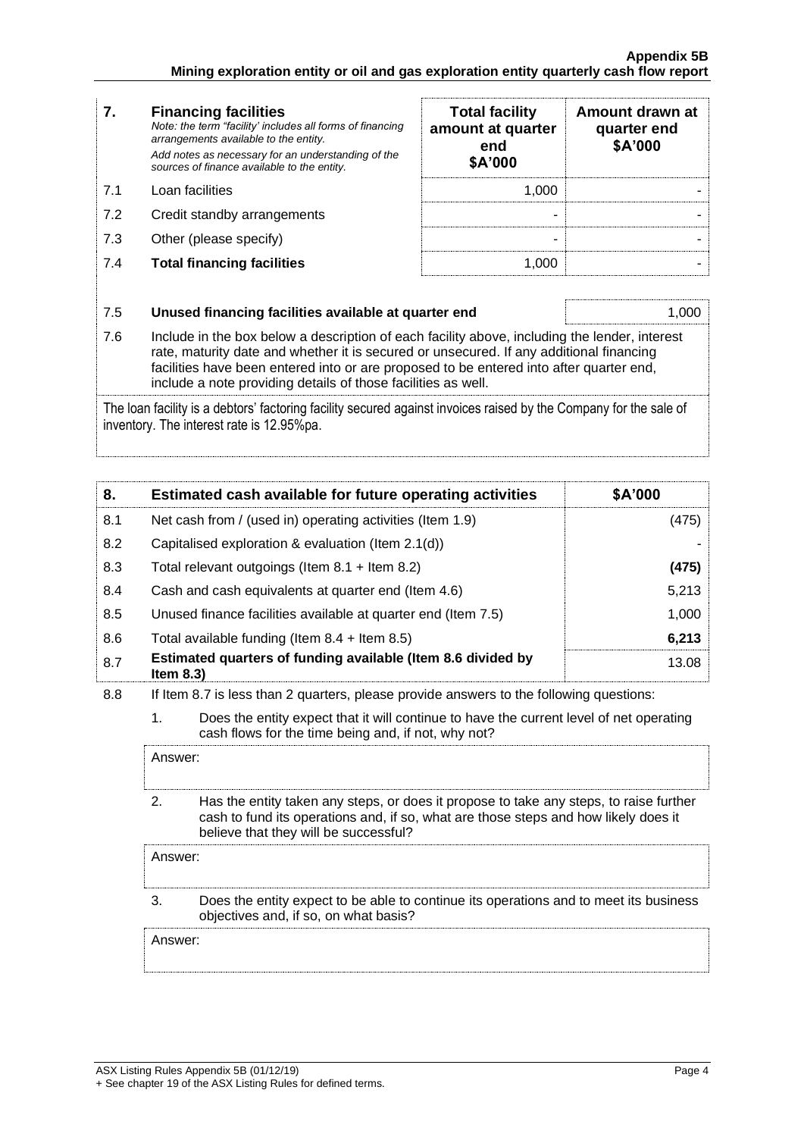| 7.  | <b>Financing facilities</b><br>Note: the term "facility' includes all forms of financing<br>arrangements available to the entity.<br>Add notes as necessary for an understanding of the<br>sources of finance available to the entity. | <b>Total facility</b><br>amount at quarter<br>end<br>\$A'000 | Amount drawn at<br>quarter end<br>\$A'000 |
|-----|----------------------------------------------------------------------------------------------------------------------------------------------------------------------------------------------------------------------------------------|--------------------------------------------------------------|-------------------------------------------|
| 7.1 | Loan facilities                                                                                                                                                                                                                        | 1.000                                                        |                                           |
| 7.2 | Credit standby arrangements                                                                                                                                                                                                            |                                                              |                                           |
| 7.3 | Other (please specify)                                                                                                                                                                                                                 |                                                              |                                           |
| 7.4 | <b>Total financing facilities</b>                                                                                                                                                                                                      | 1.000                                                        |                                           |
| 7.5 | Unused financing facilities available at quarter end                                                                                                                                                                                   |                                                              | (1()()()                                  |

7.6 Include in the box below a description of each facility above, including the lender, interest rate, maturity date and whether it is secured or unsecured. If any additional financing facilities have been entered into or are proposed to be entered into after quarter end, include a note providing details of those facilities as well.

The loan facility is a debtors' factoring facility secured against invoices raised by the Company for the sale of inventory. The interest rate is 12.95%pa.

| 8.  | Estimated cash available for future operating activities                     | \$A'000 |
|-----|------------------------------------------------------------------------------|---------|
| 8.1 | Net cash from / (used in) operating activities (Item 1.9)                    | (475)   |
| 8.2 | Capitalised exploration & evaluation (Item 2.1(d))                           |         |
| 8.3 | Total relevant outgoings (Item $8.1 +$ Item $8.2$ )                          | (475)   |
| 8.4 | Cash and cash equivalents at quarter end (Item 4.6)                          | 5.213   |
| 8.5 | Unused finance facilities available at quarter end (Item 7.5)                | 1.000   |
| 8.6 | Total available funding (Item $8.4$ + Item $8.5$ )                           | 6,213   |
| 8.7 | Estimated quarters of funding available (Item 8.6 divided by<br>Item $8.3$ ) | 13.08   |

8.8 If Item 8.7 is less than 2 quarters, please provide answers to the following questions:

1. Does the entity expect that it will continue to have the current level of net operating cash flows for the time being and, if not, why not?

Answer: 2. Has the entity taken any steps, or does it propose to take any steps, to raise further cash to fund its operations and, if so, what are those steps and how likely does it believe that they will be successful?

Answer:

#### 3. Does the entity expect to be able to continue its operations and to meet its business objectives and, if so, on what basis?

Answer: